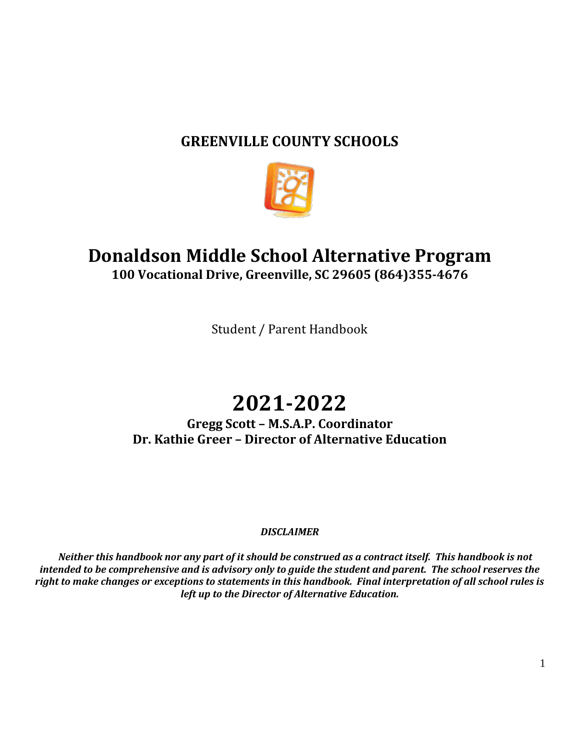# **GREENVILLE COUNTY SCHOOLS**



# **Donaldson Middle School Alternative Program 100 Vocational Drive, Greenville, SC 29605 (864)355-4676**

Student / Parent Handbook

# **2021-2022**

**Gregg Scott – M.S.A.P. Coordinator Dr. Kathie Greer – Director of Alternative Education**

# *DISCLAIMER*

 *Neither this handbook nor any part of it should be construed as a contract itself. This handbook is not intended to be comprehensive and is advisory only to guide the student and parent. The school reserves the right to make changes or exceptions to statements in this handbook. Final interpretation of all school rules is left up to the Director of Alternative Education.*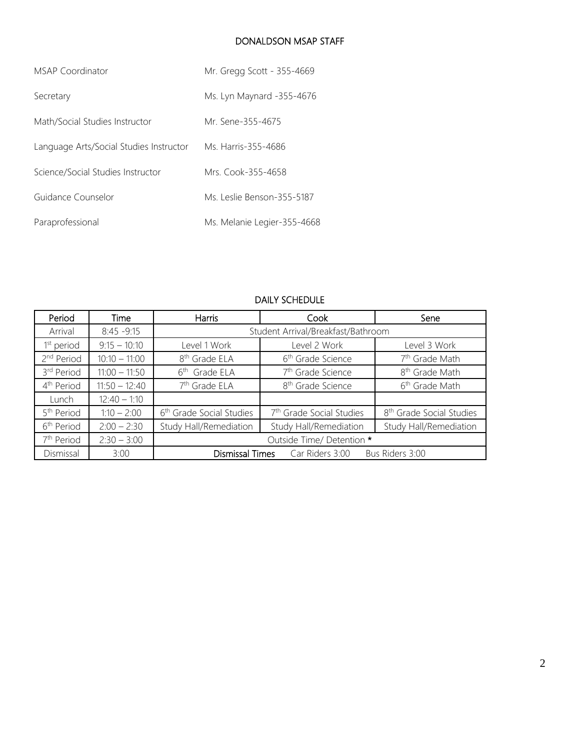#### DONALDSON MSAP STAFF

| MSAP Coordinator                        | Mr. Gregg Scott - 355-4669  |  |
|-----------------------------------------|-----------------------------|--|
| Secretary                               | Ms. Lyn Maynard -355-4676   |  |
| Math/Social Studies Instructor          | Mr. Sene-355-4675           |  |
| Language Arts/Social Studies Instructor | Ms. Harris-355-4686         |  |
| Science/Social Studies Instructor       | Mrs. Cook-355-4658          |  |
| Guidance Counselor                      | Ms. Leslie Benson-355-5187  |  |
| Paraprofessional                        | Ms. Melanie Legier-355-4668 |  |

# DAILY SCHEDULE

| Period                 | Time            | <b>Harris</b>                                         | Cook                                 | Sene                                 |
|------------------------|-----------------|-------------------------------------------------------|--------------------------------------|--------------------------------------|
| Arrival                | $8:45 - 9:15$   | Student Arrival/Breakfast/Bathroom                    |                                      |                                      |
| 1 <sup>st</sup> period | $9:15 - 10:10$  | Level 1 Work                                          | Level 2 Work                         | Level 3 Work                         |
| 2 <sup>nd</sup> Period | $10:10 - 11:00$ | 8 <sup>th</sup> Grade ELA                             | 6 <sup>th</sup> Grade Science        | 7 <sup>th</sup> Grade Math           |
| 3rd Period             | $11:00 - 11:50$ | 6 <sup>th</sup> Grade ELA                             | 7 <sup>th</sup> Grade Science        | 8 <sup>th</sup> Grade Math           |
| 4 <sup>th</sup> Period | $11:50 - 12:40$ | 7 <sup>th</sup> Grade ELA                             | 8 <sup>th</sup> Grade Science        | 6 <sup>th</sup> Grade Math           |
| Lunch                  | $12:40 - 1:10$  |                                                       |                                      |                                      |
| 5 <sup>th</sup> Period | $1:10 - 2:00$   | 6 <sup>th</sup> Grade Social Studies                  | 7 <sup>th</sup> Grade Social Studies | 8 <sup>th</sup> Grade Social Studies |
| 6 <sup>th</sup> Period | $2:00 - 2:30$   | Study Hall/Remediation                                | Study Hall/Remediation               | Study Hall/Remediation               |
| 7 <sup>th</sup> Period | $2:30 - 3:00$   | Outside Time/ Detention *                             |                                      |                                      |
| Dismissal              | 3:00            | Dismissal Times<br>Car Riders 3:00<br>Bus Riders 3:00 |                                      |                                      |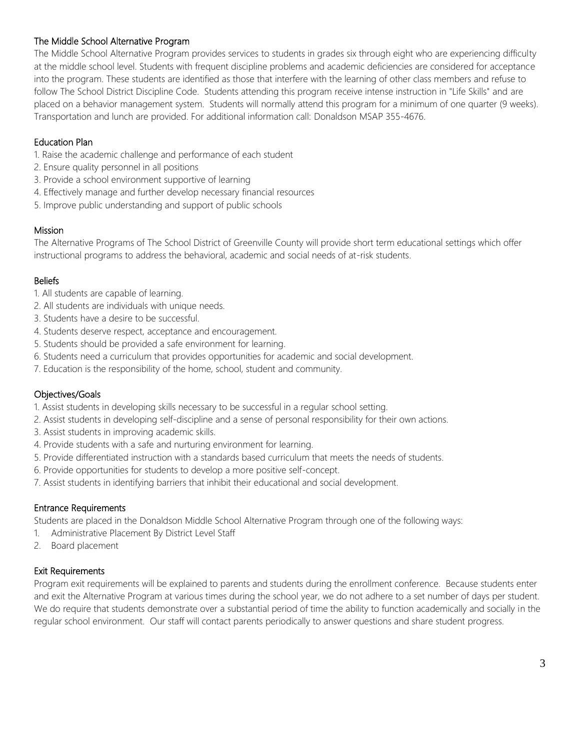# The Middle School Alternative Program

The Middle School Alternative Program provides services to students in grades six through eight who are experiencing difficulty at the middle school level. Students with frequent discipline problems and academic deficiencies are considered for acceptance into the program. These students are identified as those that interfere with the learning of other class members and refuse to follow The School District Discipline Code. Students attending this program receive intense instruction in "Life Skills" and are placed on a behavior management system. Students will normally attend this program for a minimum of one quarter (9 weeks). Transportation and lunch are provided. For additional information call: Donaldson MSAP 355-4676.

#### Education Plan

- 1. Raise the academic challenge and performance of each student
- 2. Ensure quality personnel in all positions
- 3. Provide a school environment supportive of learning
- 4. Effectively manage and further develop necessary financial resources
- 5. Improve public understanding and support of public schools

#### Mission

The Alternative Programs of The School District of Greenville County will provide short term educational settings which offer instructional programs to address the behavioral, academic and social needs of at-risk students.

#### **Beliefs**

- 1. All students are capable of learning.
- 2. All students are individuals with unique needs.
- 3. Students have a desire to be successful.
- 4. Students deserve respect, acceptance and encouragement.
- 5. Students should be provided a safe environment for learning.
- 6. Students need a curriculum that provides opportunities for academic and social development.
- 7. Education is the responsibility of the home, school, student and community.

#### Objectives/Goals

- 1. Assist students in developing skills necessary to be successful in a regular school setting.
- 2. Assist students in developing self-discipline and a sense of personal responsibility for their own actions.
- 3. Assist students in improving academic skills.
- 4. Provide students with a safe and nurturing environment for learning.
- 5. Provide differentiated instruction with a standards based curriculum that meets the needs of students.
- 6. Provide opportunities for students to develop a more positive self-concept.
- 7. Assist students in identifying barriers that inhibit their educational and social development.

#### Entrance Requirements

Students are placed in the Donaldson Middle School Alternative Program through one of the following ways:

- 1. Administrative Placement By District Level Staff
- 2. Board placement

#### Exit Requirements

Program exit requirements will be explained to parents and students during the enrollment conference. Because students enter and exit the Alternative Program at various times during the school year, we do not adhere to a set number of days per student. We do require that students demonstrate over a substantial period of time the ability to function academically and socially in the regular school environment. Our staff will contact parents periodically to answer questions and share student progress.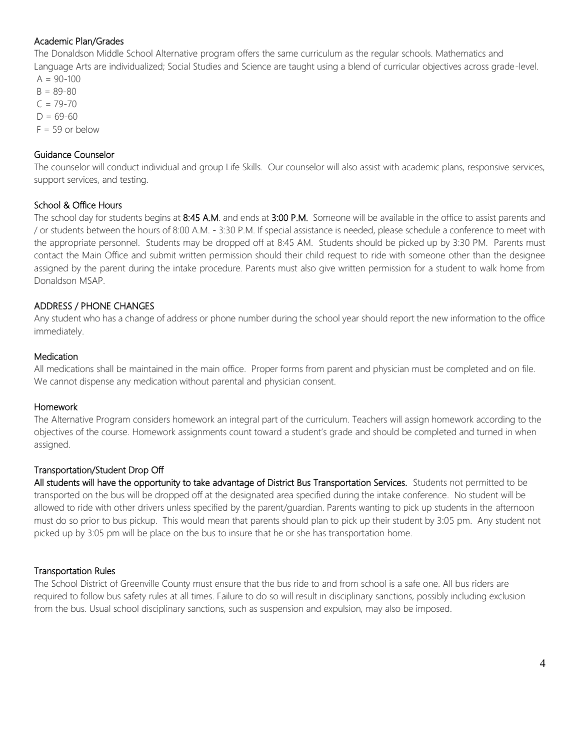## Academic Plan/Grades

The Donaldson Middle School Alternative program offers the same curriculum as the regular schools. Mathematics and Language Arts are individualized; Social Studies and Science are taught using a blend of curricular objectives across grade-level.

 $A = 90 - 100$  $B = 89 - 80$  $C = 79 - 70$  $D = 69 - 60$  $F = 59$  or below

#### Guidance Counselor

The counselor will conduct individual and group Life Skills. Our counselor will also assist with academic plans, responsive services, support services, and testing.

#### School & Office Hours

The school day for students begins at 8:45 A.M. and ends at 3:00 P.M. Someone will be available in the office to assist parents and / or students between the hours of 8:00 A.M. - 3:30 P.M. If special assistance is needed, please schedule a conference to meet with the appropriate personnel. Students may be dropped off at 8:45 AM. Students should be picked up by 3:30 PM. Parents must contact the Main Office and submit written permission should their child request to ride with someone other than the designee assigned by the parent during the intake procedure. Parents must also give written permission for a student to walk home from Donaldson MSAP.

#### ADDRESS / PHONE CHANGES

Any student who has a change of address or phone number during the school year should report the new information to the office immediately.

#### **Medication**

All medications shall be maintained in the main office. Proper forms from parent and physician must be completed and on file. We cannot dispense any medication without parental and physician consent.

#### Homework

The Alternative Program considers homework an integral part of the curriculum. Teachers will assign homework according to the objectives of the course. Homework assignments count toward a student's grade and should be completed and turned in when assigned.

#### Transportation/Student Drop Off

All students will have the opportunity to take advantage of District Bus Transportation Services. Students not permitted to be transported on the bus will be dropped off at the designated area specified during the intake conference. No student will be allowed to ride with other drivers unless specified by the parent/guardian. Parents wanting to pick up students in the afternoon must do so prior to bus pickup. This would mean that parents should plan to pick up their student by 3:05 pm. Any student not picked up by 3:05 pm will be place on the bus to insure that he or she has transportation home.

#### Transportation Rules

The School District of Greenville County must ensure that the bus ride to and from school is a safe one. All bus riders are required to follow bus safety rules at all times. Failure to do so will result in disciplinary sanctions, possibly including exclusion from the bus. Usual school disciplinary sanctions, such as suspension and expulsion, may also be imposed.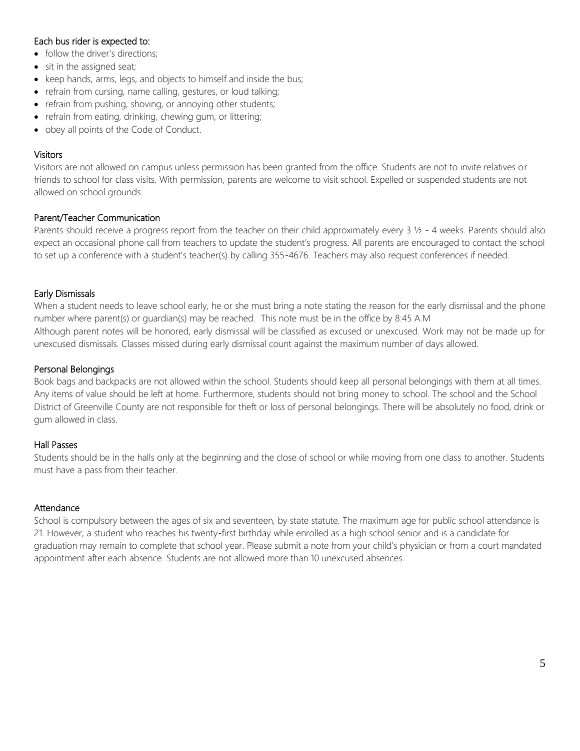# Each bus rider is expected to:

- follow the driver's directions;
- sit in the assigned seat;
- keep hands, arms, legs, and objects to himself and inside the bus;
- refrain from cursing, name calling, gestures, or loud talking;
- refrain from pushing, shoving, or annoying other students;
- refrain from eating, drinking, chewing gum, or littering;
- obey all points of the Code of Conduct.

#### **Visitors**

Visitors are not allowed on campus unless permission has been granted from the office. Students are not to invite relatives or friends to school for class visits. With permission, parents are welcome to visit school. Expelled or suspended students are not allowed on school grounds.

#### Parent/Teacher Communication

Parents should receive a progress report from the teacher on their child approximately every  $3\frac{1}{2}$  - 4 weeks. Parents should also expect an occasional phone call from teachers to update the student's progress. All parents are encouraged to contact the school to set up a conference with a student's teacher(s) by calling 355-4676. Teachers may also request conferences if needed.

#### Early Dismissals

When a student needs to leave school early, he or she must bring a note stating the reason for the early dismissal and the phone number where parent(s) or guardian(s) may be reached. This note must be in the office by 8:45 A.M Although parent notes will be honored, early dismissal will be classified as excused or unexcused. Work may not be made up for unexcused dismissals. Classes missed during early dismissal count against the maximum number of days allowed.

#### Personal Belongings

Book bags and backpacks are not allowed within the school. Students should keep all personal belongings with them at all times. Any items of value should be left at home. Furthermore, students should not bring money to school. The school and the School District of Greenville County are not responsible for theft or loss of personal belongings. There will be absolutely no food, drink or gum allowed in class.

#### Hall Passes

Students should be in the halls only at the beginning and the close of school or while moving from one class to another. Students must have a pass from their teacher.

#### Attendance

School is compulsory between the ages of six and seventeen, by state statute. The maximum age for public school attendance is 21. However, a student who reaches his twenty-first birthday while enrolled as a high school senior and is a candidate for graduation may remain to complete that school year. Please submit a note from your child's physician or from a court mandated appointment after each absence. Students are not allowed more than 10 unexcused absences.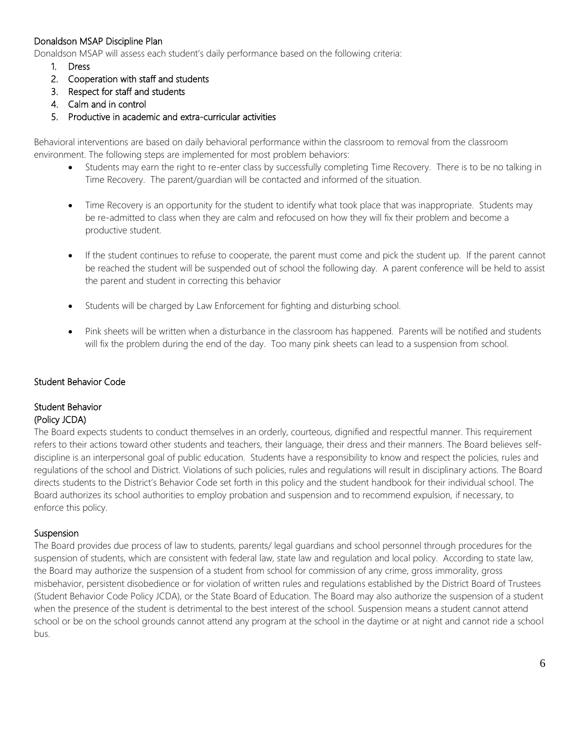# Donaldson MSAP Discipline Plan

Donaldson MSAP will assess each student's daily performance based on the following criteria:

- 1. Dress
- 2. Cooperation with staff and students
- 3. Respect for staff and students
- 4. Calm and in control
- 5. Productive in academic and extra-curricular activities

Behavioral interventions are based on daily behavioral performance within the classroom to removal from the classroom environment. The following steps are implemented for most problem behaviors:

- Students may earn the right to re-enter class by successfully completing Time Recovery. There is to be no talking in Time Recovery. The parent/guardian will be contacted and informed of the situation.
- Time Recovery is an opportunity for the student to identify what took place that was inappropriate. Students may be re-admitted to class when they are calm and refocused on how they will fix their problem and become a productive student.
- If the student continues to refuse to cooperate, the parent must come and pick the student up. If the parent cannot be reached the student will be suspended out of school the following day. A parent conference will be held to assist the parent and student in correcting this behavior
- Students will be charged by Law Enforcement for fighting and disturbing school.
- Pink sheets will be written when a disturbance in the classroom has happened. Parents will be notified and students will fix the problem during the end of the day. Too many pink sheets can lead to a suspension from school.

#### Student Behavior Code

#### Student Behavior (Policy JCDA)

The Board expects students to conduct themselves in an orderly, courteous, dignified and respectful manner. This requirement refers to their actions toward other students and teachers, their language, their dress and their manners. The Board believes selfdiscipline is an interpersonal goal of public education. Students have a responsibility to know and respect the policies, rules and regulations of the school and District. Violations of such policies, rules and regulations will result in disciplinary actions. The Board directs students to the District's Behavior Code set forth in this policy and the student handbook for their individual school. The Board authorizes its school authorities to employ probation and suspension and to recommend expulsion, if necessary, to enforce this policy.

#### **Suspension**

The Board provides due process of law to students, parents/ legal guardians and school personnel through procedures for the suspension of students, which are consistent with federal law, state law and regulation and local policy. According to state law, the Board may authorize the suspension of a student from school for commission of any crime, gross immorality, gross misbehavior, persistent disobedience or for violation of written rules and regulations established by the District Board of Trustees (Student Behavior Code Policy JCDA), or the State Board of Education. The Board may also authorize the suspension of a student when the presence of the student is detrimental to the best interest of the school. Suspension means a student cannot attend school or be on the school grounds cannot attend any program at the school in the daytime or at night and cannot ride a school bus.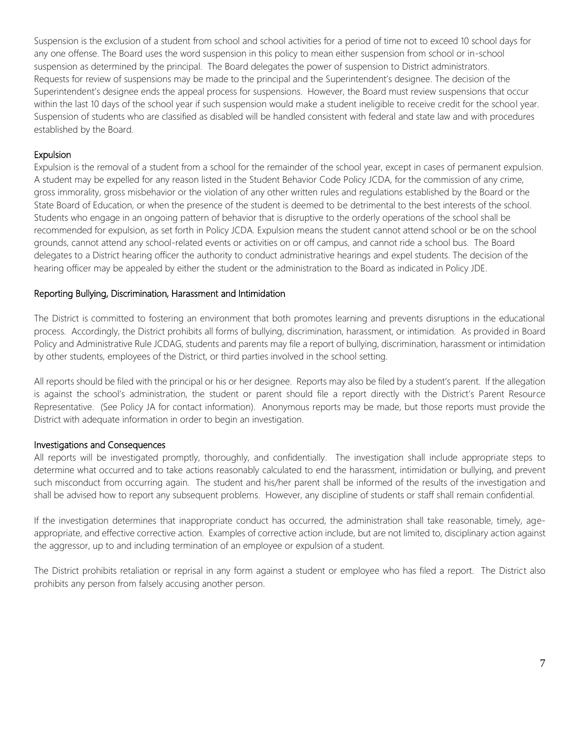Suspension is the exclusion of a student from school and school activities for a period of time not to exceed 10 school days for any one offense. The Board uses the word suspension in this policy to mean either suspension from school or in-school suspension as determined by the principal. The Board delegates the power of suspension to District administrators. Requests for review of suspensions may be made to the principal and the Superintendent's designee. The decision of the Superintendent's designee ends the appeal process for suspensions. However, the Board must review suspensions that occur within the last 10 days of the school year if such suspension would make a student ineligible to receive credit for the school year. Suspension of students who are classified as disabled will be handled consistent with federal and state law and with procedures established by the Board.

#### Expulsion

Expulsion is the removal of a student from a school for the remainder of the school year, except in cases of permanent expulsion. A student may be expelled for any reason listed in the Student Behavior Code Policy JCDA, for the commission of any crime, gross immorality, gross misbehavior or the violation of any other written rules and regulations established by the Board or the State Board of Education, or when the presence of the student is deemed to be detrimental to the best interests of the school. Students who engage in an ongoing pattern of behavior that is disruptive to the orderly operations of the school shall be recommended for expulsion, as set forth in Policy JCDA. Expulsion means the student cannot attend school or be on the school grounds, cannot attend any school-related events or activities on or off campus, and cannot ride a school bus. The Board delegates to a District hearing officer the authority to conduct administrative hearings and expel students. The decision of the hearing officer may be appealed by either the student or the administration to the Board as indicated in Policy JDE.

#### Reporting Bullying, Discrimination, Harassment and Intimidation

The District is committed to fostering an environment that both promotes learning and prevents disruptions in the educational process. Accordingly, the District prohibits all forms of bullying, discrimination, harassment, or intimidation. As provided in Board Policy and Administrative Rule JCDAG, students and parents may file a report of bullying, discrimination, harassment or intimidation by other students, employees of the District, or third parties involved in the school setting.

All reports should be filed with the principal or his or her designee. Reports may also be filed by a student's parent. If the allegation is against the school's administration, the student or parent should file a report directly with the District's Parent Resource Representative. (See Policy JA for contact information). Anonymous reports may be made, but those reports must provide the District with adequate information in order to begin an investigation.

#### Investigations and Consequences

All reports will be investigated promptly, thoroughly, and confidentially. The investigation shall include appropriate steps to determine what occurred and to take actions reasonably calculated to end the harassment, intimidation or bullying, and prevent such misconduct from occurring again. The student and his/her parent shall be informed of the results of the investigation and shall be advised how to report any subsequent problems. However, any discipline of students or staff shall remain confidential.

If the investigation determines that inappropriate conduct has occurred, the administration shall take reasonable, timely, ageappropriate, and effective corrective action. Examples of corrective action include, but are not limited to, disciplinary action against the aggressor, up to and including termination of an employee or expulsion of a student.

The District prohibits retaliation or reprisal in any form against a student or employee who has filed a report. The District also prohibits any person from falsely accusing another person.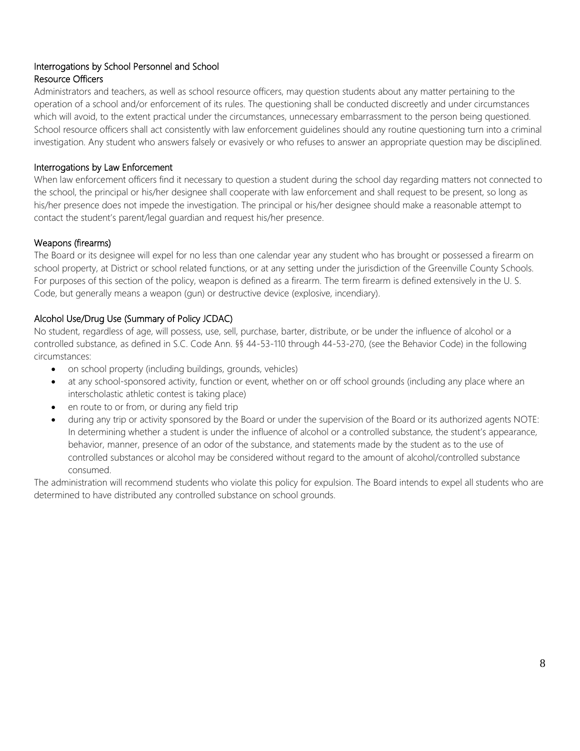# Interrogations by School Personnel and School Resource Officers

Administrators and teachers, as well as school resource officers, may question students about any matter pertaining to the operation of a school and/or enforcement of its rules. The questioning shall be conducted discreetly and under circumstances which will avoid, to the extent practical under the circumstances, unnecessary embarrassment to the person being questioned. School resource officers shall act consistently with law enforcement guidelines should any routine questioning turn into a criminal investigation. Any student who answers falsely or evasively or who refuses to answer an appropriate question may be disciplined.

# Interrogations by Law Enforcement

When law enforcement officers find it necessary to question a student during the school day regarding matters not connected to the school, the principal or his/her designee shall cooperate with law enforcement and shall request to be present, so long as his/her presence does not impede the investigation. The principal or his/her designee should make a reasonable attempt to contact the student's parent/legal guardian and request his/her presence.

#### Weapons (firearms)

The Board or its designee will expel for no less than one calendar year any student who has brought or possessed a firearm on school property, at District or school related functions, or at any setting under the jurisdiction of the Greenville County Schools. For purposes of this section of the policy, weapon is defined as a firearm. The term firearm is defined extensively in the U. S. Code, but generally means a weapon (gun) or destructive device (explosive, incendiary).

# Alcohol Use/Drug Use (Summary of Policy JCDAC)

No student, regardless of age, will possess, use, sell, purchase, barter, distribute, or be under the influence of alcohol or a controlled substance, as defined in S.C. Code Ann. §§ 44-53-110 through 44-53-270, (see the Behavior Code) in the following circumstances:

- on school property (including buildings, grounds, vehicles)
- at any school-sponsored activity, function or event, whether on or off school grounds (including any place where an interscholastic athletic contest is taking place)
- en route to or from, or during any field trip
- during any trip or activity sponsored by the Board or under the supervision of the Board or its authorized agents NOTE: In determining whether a student is under the influence of alcohol or a controlled substance, the student's appearance, behavior, manner, presence of an odor of the substance, and statements made by the student as to the use of controlled substances or alcohol may be considered without regard to the amount of alcohol/controlled substance consumed.

The administration will recommend students who violate this policy for expulsion. The Board intends to expel all students who are determined to have distributed any controlled substance on school grounds.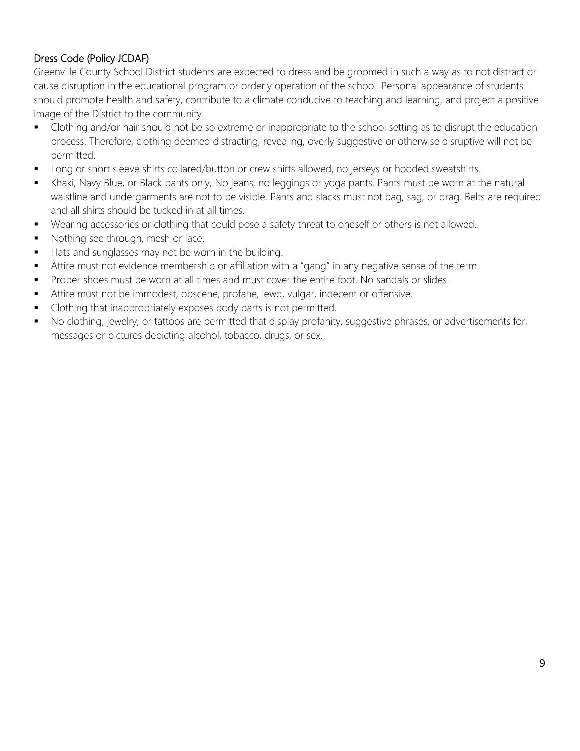# Dress Code (Policy JCDAF)

Greenville County School District students are expected to dress and be groomed in such a way as to not distract or cause disruption in the educational program or orderly operation of the school. Personal appearance of students should promote health and safety, contribute to a climate conducive to teaching and learning, and project a positive image of the District to the community.

- Clothing and/or hair should not be so extreme or inappropriate to the school setting as to disrupt the education process. Therefore, clothing deemed distracting, revealing, overly suggestive or otherwise disruptive will not be permitted.
- Long or short sleeve shirts collared/button or crew shirts allowed, no jerseys or hooded sweatshirts.
- Khaki, Navy Blue, or Black pants only, No jeans, no leggings or yoga pants. Pants must be worn at the natural waistline and undergarments are not to be visible. Pants and slacks must not bag, sag, or drag. Belts are required and all shirts should be tucked in at all times.
- Wearing accessories or clothing that could pose a safety threat to oneself or others is not allowed.
- Nothing see through, mesh or lace.
- Hats and sunglasses may not be worn in the building.
- Attire must not evidence membership or affiliation with a "gang" in any negative sense of the term.
- **Proper shoes must be worn at all times and must cover the entire foot. No sandals or slides.**
- Attire must not be immodest, obscene, profane, lewd, vulgar, indecent or offensive.
- Clothing that inappropriately exposes body parts is not permitted.
- No clothing, jewelry, or tattoos are permitted that display profanity, suggestive phrases, or advertisements for, messages or pictures depicting alcohol, tobacco, drugs, or sex.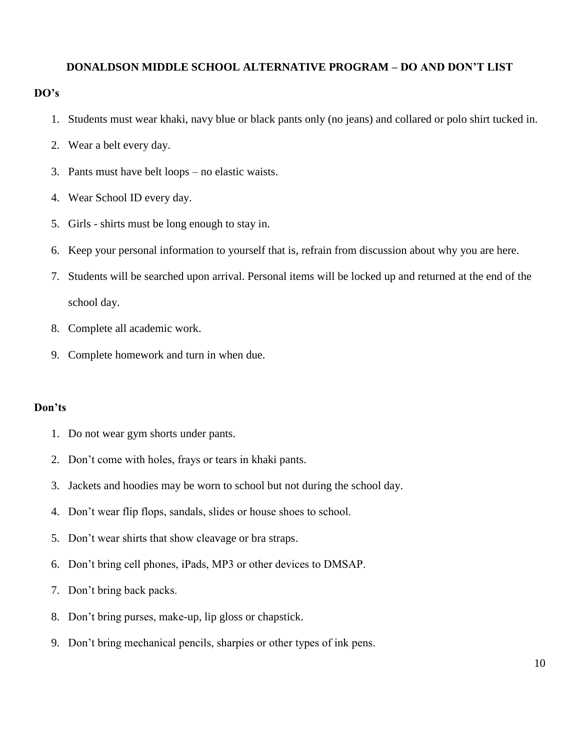# **DONALDSON MIDDLE SCHOOL ALTERNATIVE PROGRAM – DO AND DON'T LIST**

## **DO's**

- 1. Students must wear khaki, navy blue or black pants only (no jeans) and collared or polo shirt tucked in.
- 2. Wear a belt every day.
- 3. Pants must have belt loops no elastic waists.
- 4. Wear School ID every day.
- 5. Girls shirts must be long enough to stay in.
- 6. Keep your personal information to yourself that is, refrain from discussion about why you are here.
- 7. Students will be searched upon arrival. Personal items will be locked up and returned at the end of the school day.
- 8. Complete all academic work.
- 9. Complete homework and turn in when due.

# **Don'ts**

- 1. Do not wear gym shorts under pants.
- 2. Don't come with holes, frays or tears in khaki pants.
- 3. Jackets and hoodies may be worn to school but not during the school day.
- 4. Don't wear flip flops, sandals, slides or house shoes to school.
- 5. Don't wear shirts that show cleavage or bra straps.
- 6. Don't bring cell phones, iPads, MP3 or other devices to DMSAP.
- 7. Don't bring back packs.
- 8. Don't bring purses, make-up, lip gloss or chapstick.
- 9. Don't bring mechanical pencils, sharpies or other types of ink pens.